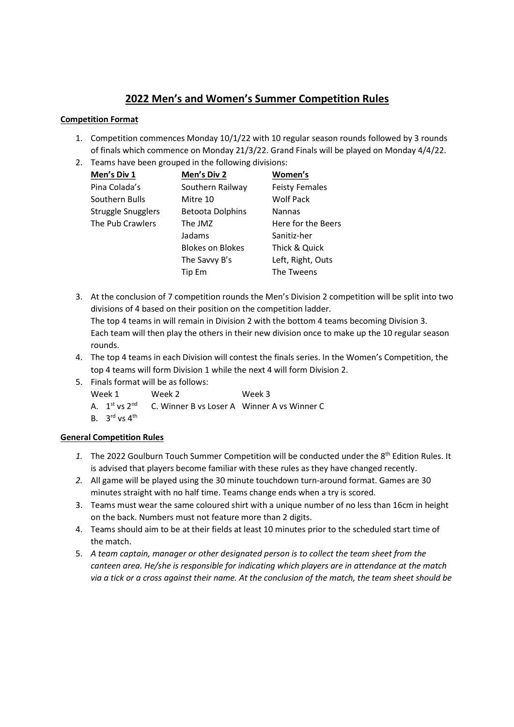## 2022 Men's and Women's Summer Competition Rules

## Competition Format

- 1. Competition commences Monday 10/1/22 with 10 regular season rounds followed by 3 rounds of finals which commence on Monday 21/3/22. Grand Finals will be played on Monday 4/4/22.
- 2. Teams have been grouped in the following divisions:

| Men's Div 1               | Men's Div 2             | Women's               |
|---------------------------|-------------------------|-----------------------|
| Pina Colada's             | Southern Railway        | <b>Feisty Females</b> |
| Southern Bulls            | Mitre 10                | <b>Wolf Pack</b>      |
| <b>Struggle Snugglers</b> | <b>Betoota Dolphins</b> | <b>Nannas</b>         |
| The Pub Crawlers          | The JMZ                 | Here for the Beers    |
|                           | Jadams                  | Sanitiz-her           |
|                           | <b>Blokes on Blokes</b> | Thick & Quick         |
|                           | The Savvy B's           | Left, Right, Outs     |
|                           | Tip Em                  | The Tweens            |
|                           |                         |                       |

- 3. At the conclusion of 7 competition rounds the Men's Division 2 competition will be split into two divisions of 4 based on their position on the competition ladder. The top 4 teams in will remain in Division 2 with the bottom 4 teams becoming Division 3. Each team will then play the others in their new division once to make up the 10 regular season rounds.
- 4. The top 4 teams in each Division will contest the finals series. In the Women's Competition, the top 4 teams will form Division 1 while the next 4 will form Division 2.
- 5. Finals format will be as follows:

| Week 1                  | Week 2                                                              | Week 3 |
|-------------------------|---------------------------------------------------------------------|--------|
|                         | A. $1^{st}$ vs $2^{nd}$ C. Winner B vs Loser A Winner A vs Winner C |        |
| B. $3^{rd}$ vs $4^{th}$ |                                                                     |        |

## General Competition Rules

- 1. The 2022 Goulburn Touch Summer Competition will be conducted under the  $8<sup>th</sup>$  Edition Rules. It is advised that players become familiar with these rules as they have changed recently.
- 2. All game will be played using the 30 minute touchdown turn-around format. Games are 30 minutes straight with no half time. Teams change ends when a try is scored.
- 3. Teams must wear the same coloured shirt with a unique number of no less than 16cm in height on the back. Numbers must not feature more than 2 digits.
- 4. Teams should aim to be at their fields at least 10 minutes prior to the scheduled start time of the match.
- 5. A team captain, manager or other designated person is to collect the team sheet from the canteen area. He/she is responsible for indicating which players are in attendance at the match via a tick or a cross against their name. At the conclusion of the match, the team sheet should be